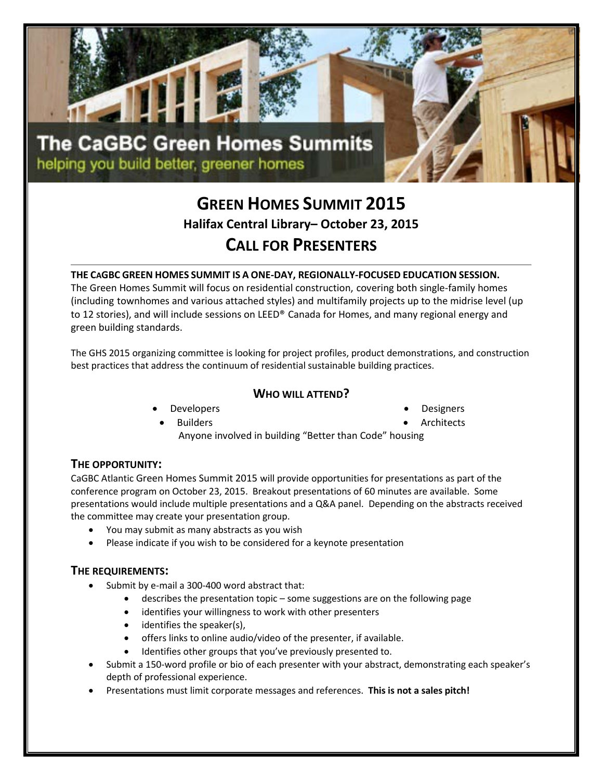

# **GREEN HOMES SUMMIT 2015 Halifax Central Library– October 23, 2015 CALL FOR PRESENTERS**

## **THE CAGBC GREEN HOMES SUMMIT IS A ONE-DAY, REGIONALLY-FOCUSED EDUCATION SESSION.**

The Green Homes Summit will focus on residential construction, covering both single-family homes (including townhomes and various attached styles) and multifamily projects up to the midrise level (up to 12 stories), and will include sessions on LEED® Canada for Homes, and many regional energy and green building standards.

The GHS 2015 organizing committee is looking for project profiles, product demonstrations, and construction best practices that address the continuum of residential sustainable building practices.

### **WHO WILL ATTEND?**

**Developers** 

**Designers** 

**Builders** 

- **Architects**
- Anyone involved in building "Better than Code" housing

## **THE OPPORTUNITY:**

CaGBC Atlantic Green Homes Summit 2015 will provide opportunities for presentations as part of the conference program on October 23, 2015. Breakout presentations of 60 minutes are available. Some presentations would include multiple presentations and a Q&A panel. Depending on the abstracts received the committee may create your presentation group.

- You may submit as many abstracts as you wish
- Please indicate if you wish to be considered for a keynote presentation

#### **THE REQUIREMENTS:**

- Submit by e-mail a 300-400 word abstract that:
	- describes the presentation topic some suggestions are on the following page
	- identifies your willingness to work with other presenters
	- identifies the speaker(s),
	- offers links to online audio/video of the presenter, if available.
	- Identifies other groups that you've previously presented to.
- Submit a 150-word profile or bio of each presenter with your abstract, demonstrating each speaker's depth of professional experience.
- Presentations must limit corporate messages and references. **This is not a sales pitch!**